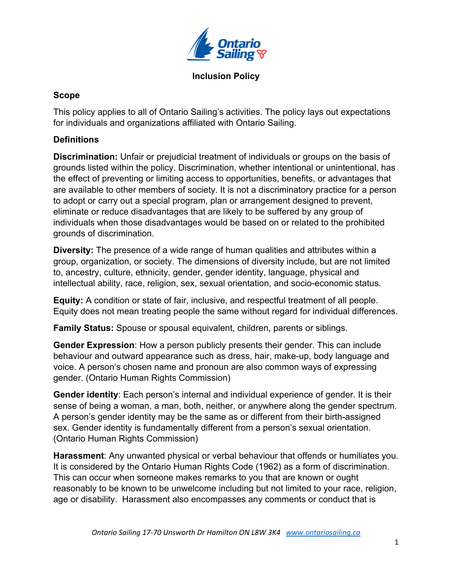

# **Scope**

This policy applies to all of Ontario Sailing's activities. The policy lays out expectations for individuals and organizations affiliated with Ontario Sailing.

# **Definitions**

**Discrimination:** Unfair or prejudicial treatment of individuals or groups on the basis of grounds listed within the policy. Discrimination, whether intentional or unintentional, has the effect of preventing or limiting access to opportunities, benefits, or advantages that are available to other members of society. It is not a discriminatory practice for a person to adopt or carry out a special program, plan or arrangement designed to prevent, eliminate or reduce disadvantages that are likely to be suffered by any group of individuals when those disadvantages would be based on or related to the prohibited grounds of discrimination.

**Diversity:** The presence of a wide range of human qualities and attributes within a group, organization, or society. The dimensions of diversity include, but are not limited to, ancestry, culture, ethnicity, gender, gender identity, language, physical and intellectual ability, race, religion, sex, sexual orientation, and socio-economic status.

**Equity:** A condition or state of fair, inclusive, and respectful treatment of all people. Equity does not mean treating people the same without regard for individual differences.

**Family Status:** Spouse or spousal equivalent, children, parents or siblings.

**Gender Expression**: How a person publicly presents their gender. This can include behaviour and outward appearance such as dress, hair, make-up, body language and voice. A person's chosen name and pronoun are also common ways of expressing gender. (Ontario Human Rights Commission)

**Gender identity**: Each person's internal and individual experience of gender. It is their sense of being a woman, a man, both, neither, or anywhere along the gender spectrum. A person's gender identity may be the same as or different from their birth-assigned sex. Gender identity is fundamentally different from a person's sexual orientation. (Ontario Human Rights Commission)

**Harassment**: Any unwanted physical or verbal behaviour that offends or humiliates you. It is considered by the Ontario Human Rights Code (1962) as a form of discrimination. This can occur when someone makes remarks to you that are known or ought reasonably to be known to be unwelcome including but not limited to your race, religion, age or disability. Harassment also encompasses any comments or conduct that is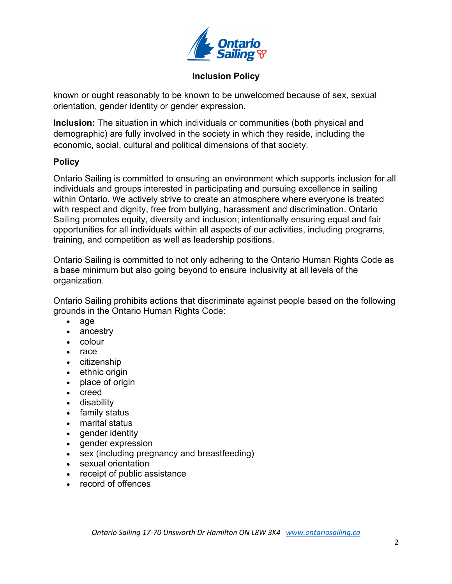

known or ought reasonably to be known to be unwelcomed because of sex, sexual orientation, gender identity or gender expression.

**Inclusion:** The situation in which individuals or communities (both physical and demographic) are fully involved in the society in which they reside, including the economic, social, cultural and political dimensions of that society.

#### **Policy**

Ontario Sailing is committed to ensuring an environment which supports inclusion for all individuals and groups interested in participating and pursuing excellence in sailing within Ontario. We actively strive to create an atmosphere where everyone is treated with respect and dignity, free from bullying, harassment and discrimination. Ontario Sailing promotes equity, diversity and inclusion; intentionally ensuring equal and fair opportunities for all individuals within all aspects of our activities, including programs, training, and competition as well as leadership positions.

Ontario Sailing is committed to not only adhering to the Ontario Human Rights Code as a base minimum but also going beyond to ensure inclusivity at all levels of the organization.

Ontario Sailing prohibits actions that discriminate against people based on the following grounds in the Ontario Human Rights Code:

- age
- ancestry
- colour
- race
- citizenship
- ethnic origin
- place of origin
- creed
- disability
- family status
- marital status
- gender identity
- gender expression
- sex (including pregnancy and breastfeeding)
- sexual orientation
- receipt of public assistance
- record of offences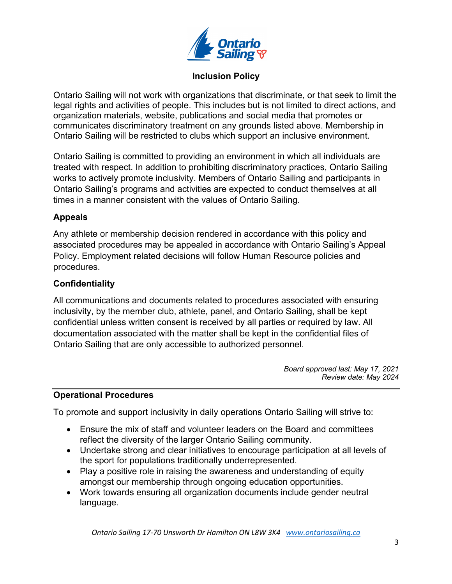

Ontario Sailing will not work with organizations that discriminate, or that seek to limit the legal rights and activities of people. This includes but is not limited to direct actions, and organization materials, website, publications and social media that promotes or communicates discriminatory treatment on any grounds listed above. Membership in Ontario Sailing will be restricted to clubs which support an inclusive environment.

Ontario Sailing is committed to providing an environment in which all individuals are treated with respect. In addition to prohibiting discriminatory practices, Ontario Sailing works to actively promote inclusivity. Members of Ontario Sailing and participants in Ontario Sailing's programs and activities are expected to conduct themselves at all times in a manner consistent with the values of Ontario Sailing.

## **Appeals**

Any athlete or membership decision rendered in accordance with this policy and associated procedures may be appealed in accordance with Ontario Sailing's Appeal Policy. Employment related decisions will follow Human Resource policies and procedures.

## **Confidentiality**

All communications and documents related to procedures associated with ensuring inclusivity, by the member club, athlete, panel, and Ontario Sailing, shall be kept confidential unless written consent is received by all parties or required by law. All documentation associated with the matter shall be kept in the confidential files of Ontario Sailing that are only accessible to authorized personnel.

> *Board approved last: May 17, 2021 Review date: May 2024*

#### **Operational Procedures**

To promote and support inclusivity in daily operations Ontario Sailing will strive to:

- Ensure the mix of staff and volunteer leaders on the Board and committees reflect the diversity of the larger Ontario Sailing community.
- Undertake strong and clear initiatives to encourage participation at all levels of the sport for populations traditionally underrepresented.
- Play a positive role in raising the awareness and understanding of equity amongst our membership through ongoing education opportunities.
- Work towards ensuring all organization documents include gender neutral language.

*Ontario Sailing 17-70 Unsworth Dr Hamilton ON L8W 3K4 www.ontariosailing.ca*